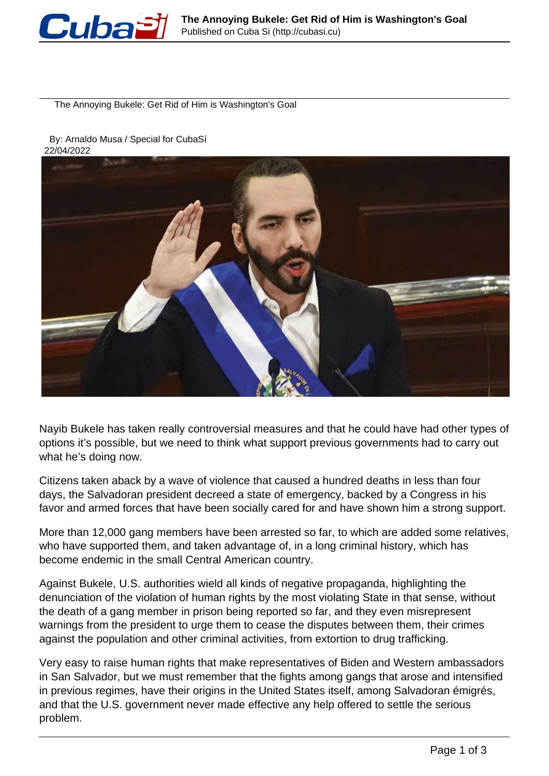

The Annoying Bukele: Get Rid of Him is Washington's Goal

 By: Arnaldo Musa / Special for CubaSí 22/04/2022



Nayib Bukele has taken really controversial measures and that he could have had other types of options it's possible, but we need to think what support previous governments had to carry out what he's doing now.

Citizens taken aback by a wave of violence that caused a hundred deaths in less than four days, the Salvadoran president decreed a state of emergency, backed by a Congress in his favor and armed forces that have been socially cared for and have shown him a strong support.

More than 12,000 gang members have been arrested so far, to which are added some relatives, who have supported them, and taken advantage of, in a long criminal history, which has become endemic in the small Central American country.

Against Bukele, U.S. authorities wield all kinds of negative propaganda, highlighting the denunciation of the violation of human rights by the most violating State in that sense, without the death of a gang member in prison being reported so far, and they even misrepresent warnings from the president to urge them to cease the disputes between them, their crimes against the population and other criminal activities, from extortion to drug trafficking.

Very easy to raise human rights that make representatives of Biden and Western ambassadors in San Salvador, but we must remember that the fights among gangs that arose and intensified in previous regimes, have their origins in the United States itself, among Salvadoran émigrés, and that the U.S. government never made effective any help offered to settle the serious problem.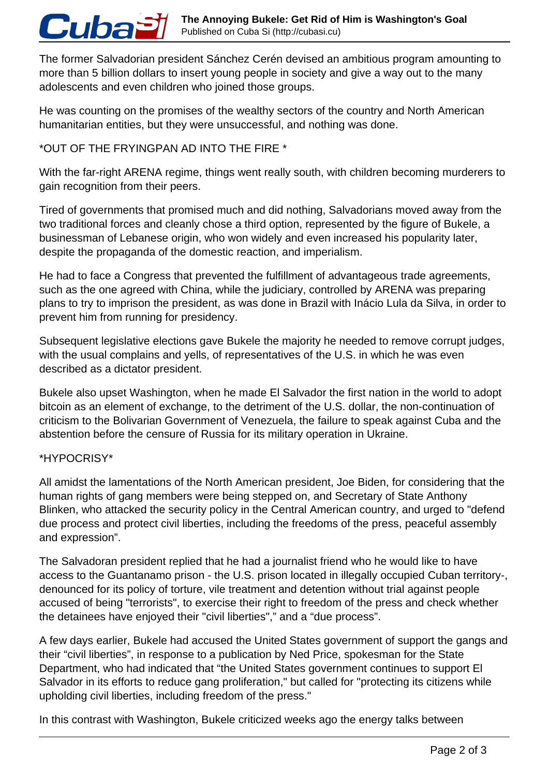The former Salvadorian president Sánchez Cerén devised an ambitious program amounting to more than 5 billion dollars to insert young people in society and give a way out to the many adolescents and even children who joined those groups.

He was counting on the promises of the wealthy sectors of the country and North American humanitarian entities, but they were unsuccessful, and nothing was done.

## \*OUT OF THE FRYINGPAN AD INTO THE FIRE \*

With the far-right ARENA regime, things went really south, with children becoming murderers to gain recognition from their peers.

Tired of governments that promised much and did nothing, Salvadorians moved away from the two traditional forces and cleanly chose a third option, represented by the figure of Bukele, a businessman of Lebanese origin, who won widely and even increased his popularity later, despite the propaganda of the domestic reaction, and imperialism.

He had to face a Congress that prevented the fulfillment of advantageous trade agreements, such as the one agreed with China, while the judiciary, controlled by ARENA was preparing plans to try to imprison the president, as was done in Brazil with Inácio Lula da Silva, in order to prevent him from running for presidency.

Subsequent legislative elections gave Bukele the majority he needed to remove corrupt judges, with the usual complains and yells, of representatives of the U.S. in which he was even described as a dictator president.

Bukele also upset Washington, when he made El Salvador the first nation in the world to adopt bitcoin as an element of exchange, to the detriment of the U.S. dollar, the non-continuation of criticism to the Bolivarian Government of Venezuela, the failure to speak against Cuba and the abstention before the censure of Russia for its military operation in Ukraine.

## \*HYPOCRISY\*

Cuba

All amidst the lamentations of the North American president, Joe Biden, for considering that the human rights of gang members were being stepped on, and Secretary of State Anthony Blinken, who attacked the security policy in the Central American country, and urged to "defend due process and protect civil liberties, including the freedoms of the press, peaceful assembly and expression".

The Salvadoran president replied that he had a journalist friend who he would like to have access to the Guantanamo prison - the U.S. prison located in illegally occupied Cuban territory-, denounced for its policy of torture, vile treatment and detention without trial against people accused of being "terrorists", to exercise their right to freedom of the press and check whether the detainees have enjoyed their "civil liberties"," and a "due process".

A few days earlier, Bukele had accused the United States government of support the gangs and their "civil liberties", in response to a publication by Ned Price, spokesman for the State Department, who had indicated that "the United States government continues to support El Salvador in its efforts to reduce gang proliferation," but called for "protecting its citizens while upholding civil liberties, including freedom of the press."

In this contrast with Washington, Bukele criticized weeks ago the energy talks between